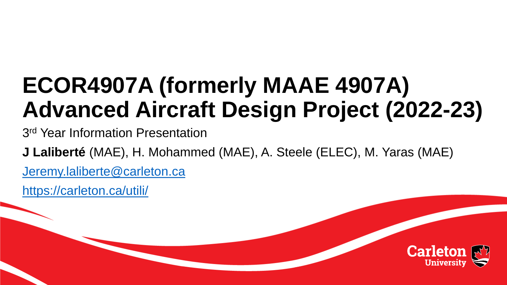# **ECOR4907A (formerly MAAE 4907A) Advanced Aircraft Design Project (2022-23)**

3<sup>rd</sup> Year Information Presentation

**J Laliberté** (MAE), H. Mohammed (MAE), A. Steele (ELEC), M. Yaras (MAE)

[Jeremy.laliberte@carleton.ca](mailto:Jeremy.laliberte@carleton.ca)

<https://carleton.ca/utili/>

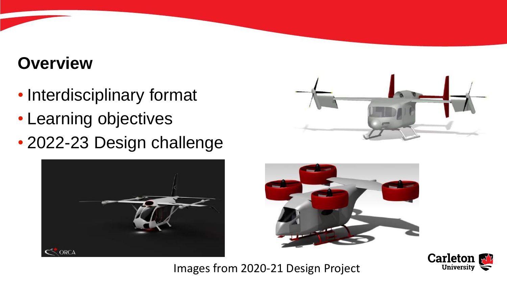#### **Overview**

- Interdisciplinary format
- Learning objectives
- 2022-23 Design challenge







#### Images from 2020-21 Design Project

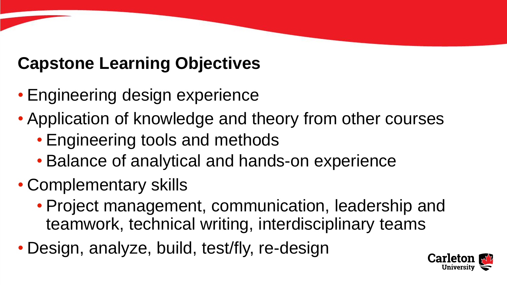# **Capstone Learning Objectives**

- Engineering design experience
- Application of knowledge and theory from other courses
	- Engineering tools and methods
	- Balance of analytical and hands-on experience
- Complementary skills
	- Project management, communication, leadership and teamwork, technical writing, interdisciplinary teams
- Design, analyze, build, test/fly, re-design

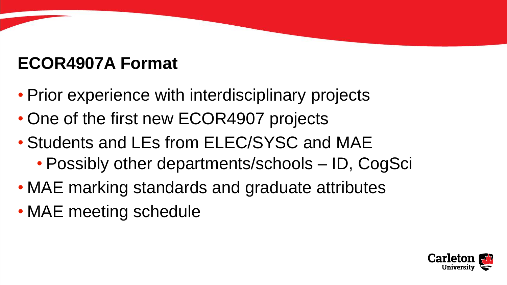## **ECOR4907A Format**

- Prior experience with interdisciplinary projects
- One of the first new ECOR4907 projects
- Students and LEs from ELEC/SYSC and MAE
	- Possibly other departments/schools ID, CogSci
- MAE marking standards and graduate attributes
- MAE meeting schedule

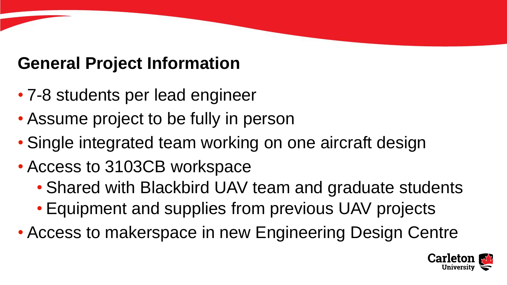## **General Project Information**

- 7-8 students per lead engineer
- Assume project to be fully in person
- Single integrated team working on one aircraft design
- Access to 3103CB workspace
	- Shared with Blackbird UAV team and graduate students
	- Equipment and supplies from previous UAV projects
- Access to makerspace in new Engineering Design Centre

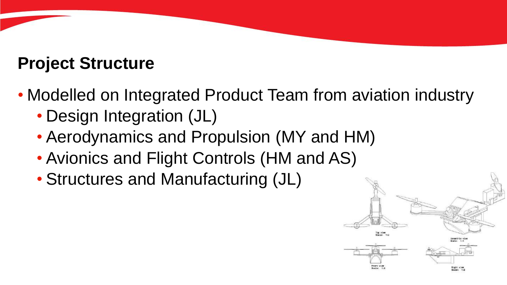#### **Project Structure**

- Modelled on Integrated Product Team from aviation industry
	- Design Integration (JL)
	- Aerodynamics and Propulsion (MY and HM)
	- Avionics and Flight Controls (HM and AS)
	- Structures and Manufacturing (JL)

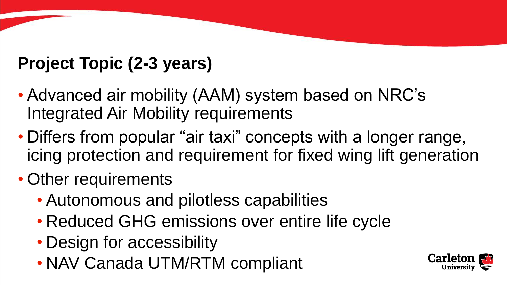# **Project Topic (2-3 years)**

- Advanced air mobility (AAM) system based on NRC's Integrated Air Mobility requirements
- Differs from popular "air taxi" concepts with a longer range, icing protection and requirement for fixed wing lift generation
- Other requirements
	- Autonomous and pilotless capabilities
	- Reduced GHG emissions over entire life cycle
	- Design for accessibility
	- NAV Canada UTM/RTM compliant

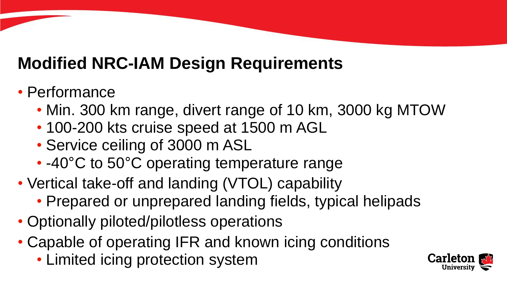#### **Modified NRC-IAM Design Requirements**

#### • Performance

- Min. 300 km range, divert range of 10 km, 3000 kg MTOW
- 100-200 kts cruise speed at 1500 m AGL
- Service ceiling of 3000 m ASL
- -40°C to 50°C operating temperature range
- Vertical take-off and landing (VTOL) capability
	- Prepared or unprepared landing fields, typical helipads
- Optionally piloted/pilotless operations
- Capable of operating IFR and known icing conditions
	- Limited icing protection system

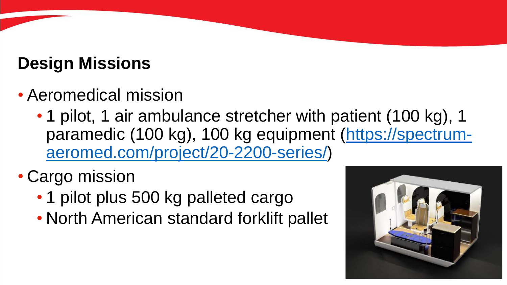## **Design Missions**

- Aeromedical mission
	- 1 pilot, 1 air ambulance stretcher with patient (100 kg), 1 [paramedic \(100 kg\), 100 kg equipment \(https://spectrum](https://spectrum-aeromed.com/project/20-2200-series/)aeromed.com/project/20-2200-series/)
- Cargo mission
	- 1 pilot plus 500 kg palleted cargo
	- North American standard forklift pallet

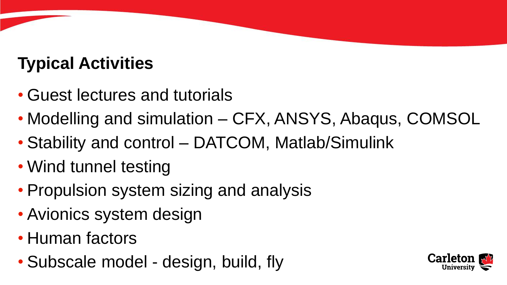# **Typical Activities**

- Guest lectures and tutorials
- Modelling and simulation CFX, ANSYS, Abaqus, COMSOL
- Stability and control DATCOM, Matlab/Simulink
- Wind tunnel testing
- Propulsion system sizing and analysis
- Avionics system design
- Human factors
- Subscale model design, build, fly